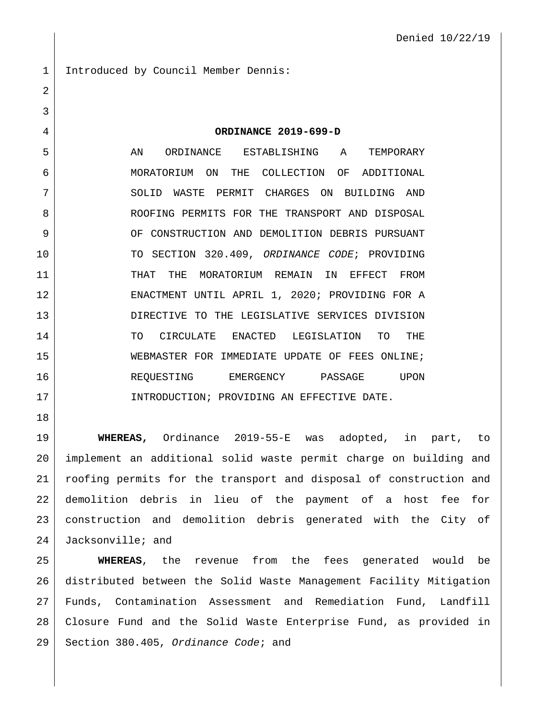1 Introduced by Council Member Dennis: **ORDINANCE 2019-699-D** 5 AN ORDINANCE ESTABLISHING A TEMPORARY MORATORIUM ON THE COLLECTION OF ADDITIONAL

7 SOLID WASTE PERMIT CHARGES ON BUILDING AND 8 ROOFING PERMITS FOR THE TRANSPORT AND DISPOSAL 9 OF CONSTRUCTION AND DEMOLITION DEBRIS PURSUANT TO SECTION 320.409, *ORDINANCE CODE*; PROVIDING THAT THE MORATORIUM REMAIN IN EFFECT FROM ENACTMENT UNTIL APRIL 1, 2020; PROVIDING FOR A 13 DIRECTIVE TO THE LEGISLATIVE SERVICES DIVISION 14 TO CIRCULATE ENACTED LEGISLATION TO THE WEBMASTER FOR IMMEDIATE UPDATE OF FEES ONLINE; 16 REQUESTING EMERGENCY PASSAGE UPON INTRODUCTION; PROVIDING AN EFFECTIVE DATE.

 **WHEREAS,** Ordinance 2019-55-E was adopted, in part, to implement an additional solid waste permit charge on building and roofing permits for the transport and disposal of construction and demolition debris in lieu of the payment of a host fee for construction and demolition debris generated with the City of Jacksonville; and

 **WHEREAS**, the revenue from the fees generated would be distributed between the Solid Waste Management Facility Mitigation Funds, Contamination Assessment and Remediation Fund, Landfill Closure Fund and the Solid Waste Enterprise Fund, as provided in Section 380.405, *Ordinance Code*; and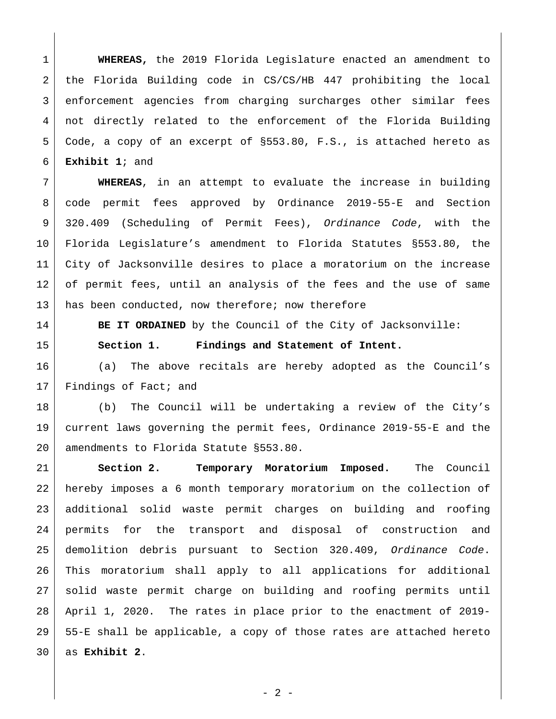**WHEREAS,** the 2019 Florida Legislature enacted an amendment to the Florida Building code in CS/CS/HB 447 prohibiting the local enforcement agencies from charging surcharges other similar fees not directly related to the enforcement of the Florida Building Code, a copy of an excerpt of §553.80, F.S., is attached hereto as **Exhibit 1**; and

 **WHEREAS**, in an attempt to evaluate the increase in building code permit fees approved by Ordinance 2019-55-E and Section 320.409 (Scheduling of Permit Fees), *Ordinance Code*, with the Florida Legislature's amendment to Florida Statutes §553.80, the City of Jacksonville desires to place a moratorium on the increase of permit fees, until an analysis of the fees and the use of same 13 has been conducted, now therefore; now therefore

**BE IT ORDAINED** by the Council of the City of Jacksonville:

**Section 1. Findings and Statement of Intent.**

 (a) The above recitals are hereby adopted as the Council's 17 Findings of Fact; and

 (b) The Council will be undertaking a review of the City's current laws governing the permit fees, Ordinance 2019-55-E and the 20 amendments to Florida Statute §553.80.

 **Section 2. Temporary Moratorium Imposed.** The Council hereby imposes a 6 month temporary moratorium on the collection of additional solid waste permit charges on building and roofing permits for the transport and disposal of construction and demolition debris pursuant to Section 320.409, *Ordinance Code*. This moratorium shall apply to all applications for additional solid waste permit charge on building and roofing permits until April 1, 2020. The rates in place prior to the enactment of 2019- 55-E shall be applicable, a copy of those rates are attached hereto as **Exhibit 2**.